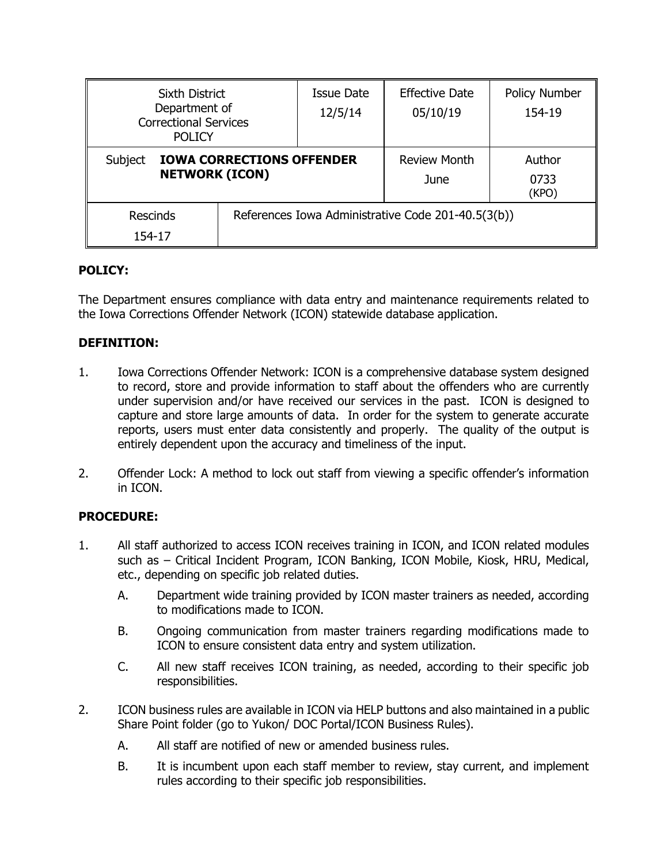| <b>Sixth District</b><br>Department of<br><b>Correctional Services</b><br><b>POLICY</b> |  | <b>Issue Date</b><br>12/5/14                       | <b>Effective Date</b><br>05/10/19 | Policy Number<br>154-19 |
|-----------------------------------------------------------------------------------------|--|----------------------------------------------------|-----------------------------------|-------------------------|
| Subject<br><b>IOWA CORRECTIONS OFFENDER</b><br><b>NETWORK (ICON)</b>                    |  | <b>Review Month</b><br>June                        | Author<br>0733<br>(KPO)           |                         |
| <b>Rescinds</b><br>154-17                                                               |  | References Iowa Administrative Code 201-40.5(3(b)) |                                   |                         |

## **POLICY:**

The Department ensures compliance with data entry and maintenance requirements related to the Iowa Corrections Offender Network (ICON) statewide database application.

#### **DEFINITION:**

- 1. Iowa Corrections Offender Network: ICON is a comprehensive database system designed to record, store and provide information to staff about the offenders who are currently under supervision and/or have received our services in the past. ICON is designed to capture and store large amounts of data. In order for the system to generate accurate reports, users must enter data consistently and properly. The quality of the output is entirely dependent upon the accuracy and timeliness of the input.
- 2. Offender Lock: A method to lock out staff from viewing a specific offender's information in ICON.

## **PROCEDURE:**

- 1. All staff authorized to access ICON receives training in ICON, and ICON related modules such as – Critical Incident Program, ICON Banking, ICON Mobile, Kiosk, HRU, Medical, etc., depending on specific job related duties.
	- A. Department wide training provided by ICON master trainers as needed, according to modifications made to ICON.
	- B. Ongoing communication from master trainers regarding modifications made to ICON to ensure consistent data entry and system utilization.
	- C. All new staff receives ICON training, as needed, according to their specific job responsibilities.
- 2. ICON business rules are available in ICON via HELP buttons and also maintained in a public Share Point folder (go to Yukon/ DOC Portal/ICON Business Rules).
	- A. All staff are notified of new or amended business rules.
	- B. It is incumbent upon each staff member to review, stay current, and implement rules according to their specific job responsibilities.